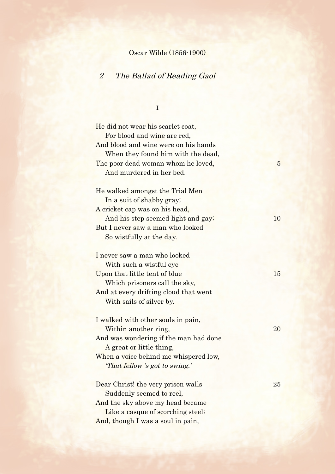### Oscar Wilde (1856-1900)

### 2 The Ballad of Reading Gaol

**I I** *I I I* 

He did not wear his scarlet coat, For blood and wine are red, And blood and wine were on his hands When they found him with the dead, The poor dead woman whom he loved, 5 And murdered in her bed. He walked amongst the Trial Men In a suit of shabby gray; A cricket cap was on his head, And his step seemed light and gay; 10 But I never saw a man who looked So wistfully at the day. I never saw a man who looked With such a wistful eye Upon that little tent of blue 15 Which prisoners call the sky, And at every drifting cloud that went With sails of silver by. I walked with other souls in pain, Within another ring, 20 And was wondering if the man had done A great or little thing, When a voice behind me whispered low, 'That fellow 's got to swing.' Dear Christ! the very prison walls 25 Suddenly seemed to reel, And the sky above my head became Like a casque of scorching steel;

And, though I was a soul in pain,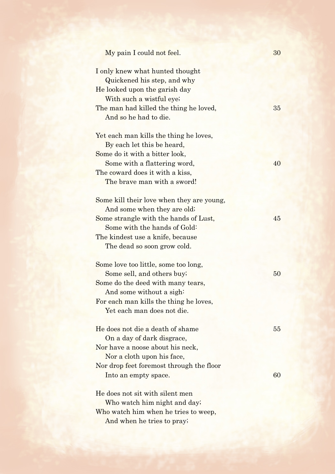| My pain I could not feel.                                                                       | 30 |
|-------------------------------------------------------------------------------------------------|----|
| I only knew what hunted thought<br>Quickened his step, and why<br>He looked upon the garish day |    |
| With such a wistful eye;                                                                        |    |
| The man had killed the thing he loved,<br>And so he had to die.                                 | 35 |
| Yet each man kills the thing he loves,                                                          |    |
| By each let this be heard,                                                                      |    |
| Some do it with a bitter look,                                                                  |    |
| Some with a flattering word,                                                                    | 40 |
| The coward does it with a kiss,                                                                 |    |
| The brave man with a sword!                                                                     |    |
| Some kill their love when they are young,                                                       |    |
| And some when they are old;                                                                     |    |
| Some strangle with the hands of Lust,                                                           | 45 |
| Some with the hands of Gold:                                                                    |    |
| The kindest use a knife, because                                                                |    |
| The dead so soon grow cold.                                                                     |    |
| Some love too little, some too long,                                                            |    |
| Some sell, and others buy;                                                                      | 50 |
| Some do the deed with many tears,                                                               |    |
| And some without a sigh:                                                                        |    |
| For each man kills the thing he loves,                                                          |    |
| Yet each man does not die.                                                                      |    |
| He does not die a death of shame                                                                | 55 |
| On a day of dark disgrace,                                                                      |    |
| Nor have a noose about his neck,                                                                |    |
| Nor a cloth upon his face,                                                                      |    |
| Nor drop feet foremost through the floor                                                        |    |
| Into an empty space.                                                                            | 60 |
| He does not sit with silent men                                                                 |    |
| Who watch him night and day;                                                                    |    |
| Who watch him when he tries to weep,                                                            |    |
| And when he tries to pray;                                                                      |    |
|                                                                                                 |    |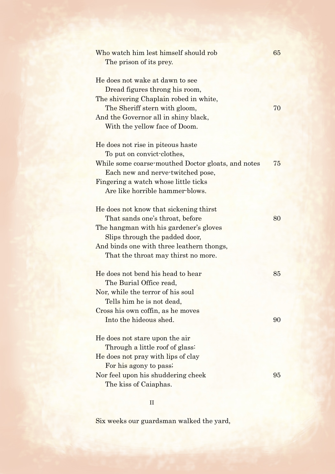| Who watch him lest himself should rob<br>The prison of its prey.                                                                             | 65 |
|----------------------------------------------------------------------------------------------------------------------------------------------|----|
| He does not wake at dawn to see<br>Dread figures throng his room,<br>The shivering Chaplain robed in white,<br>The Sheriff stern with gloom, | 70 |
| And the Governor all in shiny black,<br>With the yellow face of Doom.                                                                        |    |
| He does not rise in piteous haste<br>To put on convict-clothes,                                                                              |    |
| While some coarse-mouthed Doctor gloats, and notes<br>Each new and nerve-twitched pose,                                                      | 75 |
| Fingering a watch whose little ticks<br>Are like horrible hammer-blows.                                                                      |    |
| He does not know that sickening thirst<br>That sands one's throat, before                                                                    | 80 |
| The hangman with his gardener's gloves<br>Slips through the padded door,                                                                     |    |
| And binds one with three leathern thongs,<br>That the throat may thirst no more.                                                             |    |
| He does not bend his head to hear<br>The Burial Office read,                                                                                 | 85 |
| Nor, while the terror of his soul<br>Tells him he is not dead,                                                                               |    |
| Cross his own coffin, as he moves<br>Into the hideous shed.                                                                                  | 90 |
| He does not stare upon the air<br>Through a little roof of glass:                                                                            |    |
| He does not pray with lips of clay<br>For his agony to pass;                                                                                 |    |
| Nor feel upon his shuddering cheek<br>The kiss of Caiaphas.                                                                                  | 95 |

II

Six weeks our guardsman walked the yard,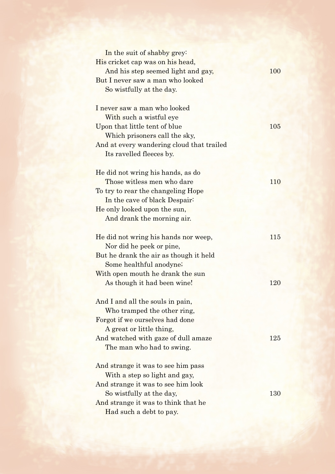| In the suit of shabby grey:                                      |     |
|------------------------------------------------------------------|-----|
| His cricket cap was on his head,                                 |     |
| And his step seemed light and gay,                               | 100 |
| But I never saw a man who looked                                 |     |
| So wistfully at the day.                                         |     |
|                                                                  |     |
| I never saw a man who looked                                     |     |
| With such a wistful eye                                          |     |
| Upon that little tent of blue                                    | 105 |
| Which prisoners call the sky,                                    |     |
| And at every wandering cloud that trailed                        |     |
| Its ravelled fleeces by.                                         |     |
|                                                                  |     |
| He did not wring his hands, as do                                |     |
| Those witless men who dare                                       | 110 |
| To try to rear the changeling Hope                               |     |
| In the cave of black Despair:                                    |     |
| He only looked upon the sun,                                     |     |
| And drank the morning air.                                       |     |
|                                                                  | 115 |
| He did not wring his hands nor weep,<br>Nor did he peek or pine, |     |
|                                                                  |     |
| But he drank the air as though it held                           |     |
| Some healthful anodyne;<br>With open mouth he drank the sun      |     |
| As though it had been wine!                                      | 120 |
|                                                                  |     |
| And I and all the souls in pain,                                 |     |
| Who tramped the other ring,                                      |     |
| Forgot if we ourselves had done                                  |     |
| A great or little thing,                                         |     |
| And watched with gaze of dull amaze                              | 125 |
| The man who had to swing.                                        |     |
|                                                                  |     |
| And strange it was to see him pass                               |     |
| With a step so light and gay,                                    |     |
| And strange it was to see him look                               |     |
| So wistfully at the day,                                         | 130 |
| And strange it was to think that he                              |     |
| Had such a debt to pay.                                          |     |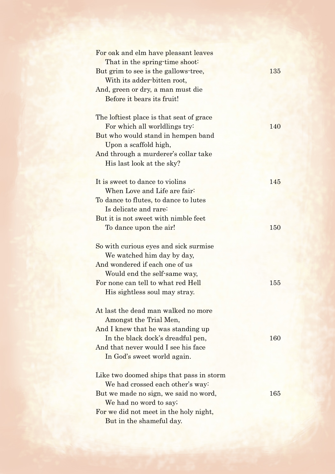| For oak and elm have pleasant leaves<br>That in the spring-time shoot: |            |
|------------------------------------------------------------------------|------------|
| But grim to see is the gallows-tree,<br>With its adder-bitten root,    | 135        |
| And, green or dry, a man must die<br>Before it bears its fruit!        |            |
| The loftiest place is that seat of grace                               |            |
| For which all worldlings try:                                          | <b>140</b> |
| But who would stand in hempen band                                     |            |
| Upon a scaffold high,<br>And through a murderer's collar take          |            |
| His last look at the sky?                                              |            |
|                                                                        |            |
| It is sweet to dance to violing                                        | 145        |
| When Love and Life are fair:                                           |            |
| To dance to flutes, to dance to lutes                                  |            |
| Is delicate and rare:                                                  |            |
| But it is not sweet with nimble feet                                   |            |
| To dance upon the air!                                                 | 150        |
|                                                                        |            |
| So with curious eyes and sick surmise                                  |            |
| We watched him day by day,                                             |            |
| And wondered if each one of us                                         |            |
| Would end the self-same way,                                           |            |
| For none can tell to what red Hell                                     | 155        |
| His sightless soul may stray.                                          |            |
| At last the dead man walked no more                                    |            |
| Amongst the Trial Men,                                                 |            |
| And I knew that he was standing up                                     |            |
| In the black dock's dreadful pen,                                      | <b>160</b> |
| And that never would I see his face                                    |            |
| In God's sweet world again.                                            |            |
| Like two doomed ships that pass in storm                               |            |
| We had crossed each other's way:                                       |            |
| But we made no sign, we said no word,                                  | 165        |
| We had no word to say;                                                 |            |
| For we did not meet in the holy night,                                 |            |
| But in the shameful day.                                               |            |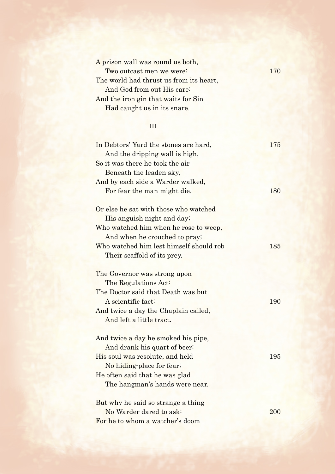| A prison wall was round us both,        |     |
|-----------------------------------------|-----|
| Two outcast men we were:                | 170 |
| The world had thrust us from its heart, |     |
| And God from out His care:              |     |
| And the iron gin that waits for Sin     |     |
| Had caught us in its snare.             |     |
|                                         |     |

## III

| In Debtors' Yard the stones are hard,<br>And the dripping wall is high, | 175 |
|-------------------------------------------------------------------------|-----|
| So it was there he took the air                                         |     |
| Beneath the leaden sky,                                                 |     |
| And by each side a Warder walked,                                       |     |
| For fear the man might die.                                             | 180 |
| Or else he sat with those who watched                                   |     |
| His anguish night and day;                                              |     |
| Who watched him when he rose to weep,                                   |     |
| And when he crouched to pray;                                           |     |
| Who watched him lest himself should rob                                 | 185 |
| Their scaffold of its prey.                                             |     |
| The Governor was strong upon                                            |     |
| The Regulations Act:                                                    |     |
| The Doctor said that Death was but                                      |     |
| A scientific fact:                                                      | 190 |
| And twice a day the Chaplain called,                                    |     |
| And left a little tract.                                                |     |
| And twice a day he smoked his pipe,                                     |     |
| And drank his quart of beer:                                            |     |
| His soul was resolute, and held                                         | 195 |
| No hiding-place for fear;                                               |     |
| He often said that he was glad                                          |     |
| The hangman's hands were near.                                          |     |
| But why he said so strange a thing                                      |     |
| No Warder dared to ask:                                                 | 200 |
| For he to whom a watcher's doom                                         |     |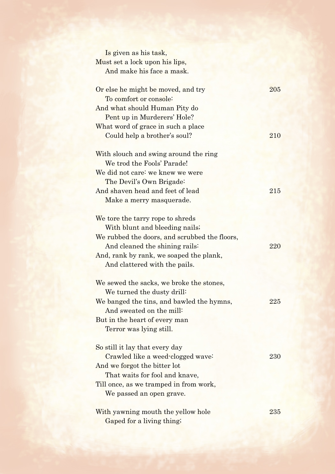| Is given as his task,                                       |     |
|-------------------------------------------------------------|-----|
|                                                             |     |
| Must set a lock upon his lips,<br>And make his face a mask. |     |
|                                                             |     |
| Or else he might be moved, and try                          | 205 |
| To comfort or console:                                      |     |
| And what should Human Pity do                               |     |
| Pent up in Murderers' Hole?                                 |     |
| What word of grace in such a place                          |     |
| Could help a brother's soul?                                | 210 |
|                                                             |     |
| With slouch and swing around the ring                       |     |
| We trod the Fools' Parade!                                  |     |
| We did not care: we knew we were                            |     |
| The Devil's Own Brigade:                                    |     |
| And shaven head and feet of lead                            | 215 |
|                                                             |     |
| Make a merry masquerade.                                    |     |
| We tore the tarry rope to shreds                            |     |
| With blunt and bleeding nails;                              |     |
| We rubbed the doors, and scrubbed the floors,               |     |
| And cleaned the shining rails:                              | 220 |
| And, rank by rank, we soaped the plank,                     |     |
| And clattered with the pails.                               |     |
|                                                             |     |
| We sewed the sacks, we broke the stones,                    |     |
| We turned the dusty drill:                                  |     |
| We banged the tins, and bawled the hymns,                   | 225 |
| And sweated on the mill:                                    |     |
| But in the heart of every man                               |     |
| Terror was lying still.                                     |     |
|                                                             |     |
| So still it lay that every day                              |     |
| Crawled like a weed-clogged wave:                           | 230 |
| And we forgot the bitter lot                                |     |
| That waits for fool and knave,                              |     |
| Till once, as we tramped in from work,                      |     |
| We passed an open grave.                                    |     |
|                                                             |     |
| With yawning mouth the yellow hole                          | 235 |
| Gaped for a living thing;                                   |     |
|                                                             |     |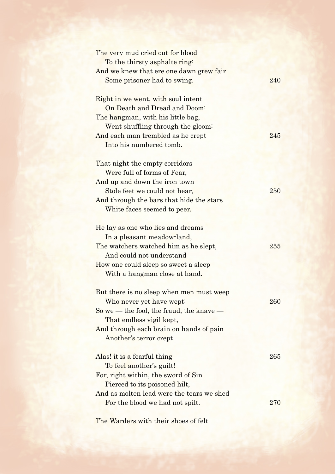| The very mud cried out for blood          |     |
|-------------------------------------------|-----|
| To the thirsty asphalte ring:             |     |
| And we knew that ere one dawn grew fair   |     |
| Some prisoner had to swing.               | 240 |
|                                           |     |
| Right in we went, with soul intent        |     |
| On Death and Dread and Doom:              |     |
| The hangman, with his little bag,         |     |
| Went shuffling through the gloom:         |     |
| And each man trembled as he crept         | 245 |
| Into his numbered tomb.                   |     |
|                                           |     |
| That night the empty corridors            |     |
| Were full of forms of Fear,               |     |
| And up and down the iron town             |     |
| Stole feet we could not hear,             | 250 |
| And through the bars that hide the stars  |     |
| White faces seemed to peer.               |     |
|                                           |     |
| He lay as one who lies and dreams         |     |
| In a pleasant meadow-land,                |     |
| The watchers watched him as he slept,     | 255 |
| And could not understand                  |     |
| How one could sleep so sweet a sleep      |     |
| With a hangman close at hand.             |     |
|                                           |     |
| But there is no sleep when men must weep  |     |
| Who never yet have wept:                  | 260 |
| So we — the fool, the fraud, the knave —  |     |
| That endless vigil kept,                  |     |
| And through each brain on hands of pain   |     |
| Another's terror crept.                   |     |
| Alas! it is a fearful thing               | 265 |
| To feel another's guilt!                  |     |
| For, right within, the sword of Sin       |     |
| Pierced to its poisoned hilt,             |     |
| And as molten lead were the tears we shed |     |
| For the blood we had not spilt.           | 270 |
|                                           |     |

The Warders with their shoes of felt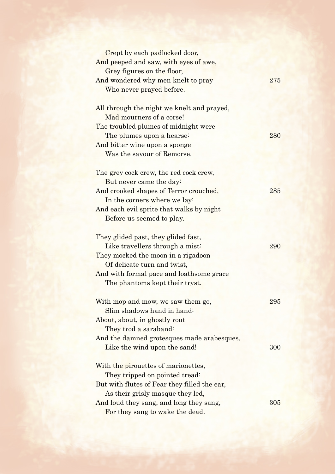| Crept by each padlocked door,                |     |
|----------------------------------------------|-----|
| And peeped and saw, with eyes of awe,        |     |
| Grey figures on the floor,                   |     |
| And wondered why men knelt to pray           | 275 |
| Who never prayed before.                     |     |
|                                              |     |
| All through the night we knelt and prayed,   |     |
| Mad mourners of a corse!                     |     |
| The troubled plumes of midnight were         |     |
| The plumes upon a hearse:                    | 280 |
| And bitter wine upon a sponge                |     |
| Was the savour of Remorse.                   |     |
|                                              |     |
| The grey cock crew, the red cock crew,       |     |
| But never came the day:                      |     |
| And crooked shapes of Terror crouched,       | 285 |
| In the corners where we lay:                 |     |
| And each evil sprite that walks by night     |     |
| Before us seemed to play.                    |     |
|                                              |     |
| They glided past, they glided fast,          |     |
| Like travellers through a mist:              | 290 |
| They mocked the moon in a rigadoon           |     |
| Of delicate turn and twist,                  |     |
| And with formal pace and loathsome grace     |     |
| The phantoms kept their tryst.               |     |
|                                              |     |
| With mop and mow, we saw them go,            | 295 |
| Slim shadows hand in hand:                   |     |
| About, about, in ghostly rout                |     |
| They trod a saraband:                        |     |
| And the damned grotesques made arabesques,   |     |
| Like the wind upon the sand!                 | 300 |
|                                              |     |
| With the pirouettes of marionettes,          |     |
| They tripped on pointed tread:               |     |
| But with flutes of Fear they filled the ear, |     |
| As their grisly masque they led,             |     |
| And loud they sang, and long they sang,      | 305 |
| For they sang to wake the dead.              |     |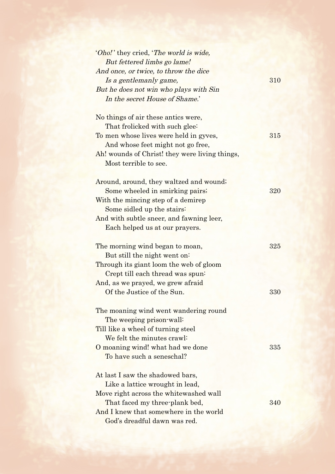| 'Oho!' they cried, 'The world is wide,         |     |
|------------------------------------------------|-----|
| But fettered limbs go lame!                    |     |
| And once, or twice, to throw the dice          |     |
| Is a gentlemanly game,                         | 310 |
| But he does not win who plays with Sin         |     |
| In the secret House of Shame.'                 |     |
| No things of air these antics were,            |     |
| That frolicked with such glee:                 |     |
| To men whose lives were held in gyves,         | 315 |
| And whose feet might not go free,              |     |
| Ah! wounds of Christ! they were living things, |     |
| Most terrible to see.                          |     |
| Around, around, they waltzed and wound;        |     |
| Some wheeled in smirking pairs;                | 320 |
| With the mincing step of a demirep             |     |
| Some sidled up the stairs:                     |     |
| And with subtle sneer, and fawning leer,       |     |
| Each helped us at our prayers.                 |     |
| The morning wind began to moan,                | 325 |
| But still the night went on:                   |     |
| Through its giant loom the web of gloom        |     |
| Crept till each thread was spun-               |     |
| And, as we prayed, we grew afraid              |     |
| Of the Justice of the Sun.                     | 330 |
| The moaning wind went wandering round          |     |
| The weeping prison-wall:                       |     |
| Till like a wheel of turning steel             |     |
| We felt the minutes crawl:                     |     |
| O moaning wind! what had we done               | 335 |
| To have such a seneschal?                      |     |
| At last I saw the shadowed bars,               |     |
| Like a lattice wrought in lead,                |     |
| Move right across the whitewashed wall         |     |
| That faced my three-plank bed,                 | 340 |
| And I knew that somewhere in the world         |     |
| God's dreadful dawn was red.                   |     |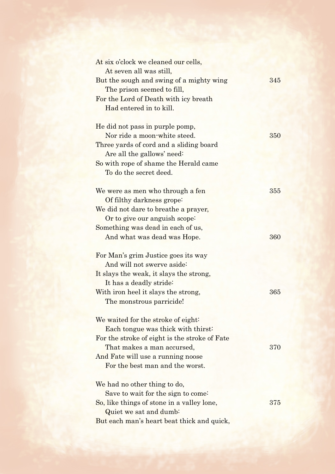| At six o'clock we cleaned our cells,          |     |
|-----------------------------------------------|-----|
| At seven all was still,                       |     |
| But the sough and swing of a mighty wing      | 345 |
| The prison seemed to fill,                    |     |
| For the Lord of Death with icy breath         |     |
| Had entered in to kill.                       |     |
|                                               |     |
| He did not pass in purple pomp,               |     |
| Nor ride a moon-white steed.                  | 350 |
| Three yards of cord and a sliding board       |     |
| Are all the gallows' need:                    |     |
| So with rope of shame the Herald came         |     |
| To do the secret deed.                        |     |
| We were as men who through a fen              | 355 |
| Of filthy darkness grope:                     |     |
| We did not dare to breathe a prayer,          |     |
| Or to give our anguish scope:                 |     |
| Something was dead in each of us,             |     |
| And what was dead was Hope.                   | 360 |
|                                               |     |
| For Man's grim Justice goes its way           |     |
| And will not swerve aside:                    |     |
| It slays the weak, it slays the strong,       |     |
| It has a deadly stride:                       |     |
| With iron heel it slays the strong,           | 365 |
| The monstrous parricide!                      |     |
|                                               |     |
| We waited for the stroke of eight:            |     |
| Each tongue was thick with thirst:            |     |
| For the stroke of eight is the stroke of Fate |     |
| That makes a man accursed,                    | 370 |
| And Fate will use a running noose             |     |
| For the best man and the worst.               |     |
|                                               |     |
| We had no other thing to do,                  |     |
| Save to wait for the sign to come.            |     |
| So, like things of stone in a valley lone,    | 375 |
| Quiet we sat and dumb:                        |     |
| But each man's heart beat thick and quick,    |     |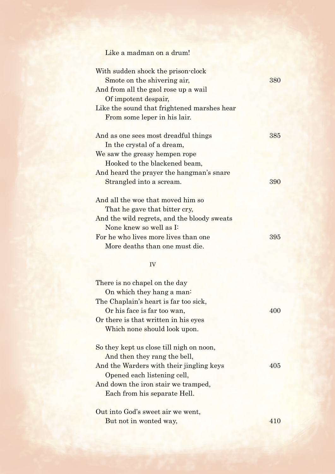# Like a madman on a drum! With sudden shock the prison-clock Smote on the shivering air, 380 And from all the gaol rose up a wail Of impotent despair, Like the sound that frightened marshes hear From some leper in his lair.

| And as one sees most dreadful things                                     | 385 |
|--------------------------------------------------------------------------|-----|
| In the crystal of a dream,                                               |     |
| We saw the greasy hempen rope                                            |     |
| Hooked to the blackened beam,                                            |     |
| And heard the prayer the hangman's snare                                 |     |
| Strangled into a scream.                                                 | 390 |
| And all the woe that moved him so<br>$\mathbf{m}$ 1 1 1 1 1 $\mathbf{m}$ |     |

| That he gave that bitter cry,               |     |
|---------------------------------------------|-----|
| And the wild regrets, and the bloody sweats |     |
| None knew so well as I:                     |     |
| For he who lives more lives than one        | 395 |
| More deaths than one must die.              |     |

#### IV

| There is no chapel on the day            |     |
|------------------------------------------|-----|
| On which they hang a man:                |     |
| The Chaplain's heart is far too sick,    |     |
| Or his face is far too wan,              | 400 |
| Or there is that written in his eyes     |     |
| Which none should look upon.             |     |
| So they kept us close till nigh on noon, |     |
| And then they rang the bell,             |     |
| And the Warders with their jingling keys | 405 |
| Opened each listening cell,              |     |
| And down the iron stair we tramped,      |     |
| Each from his separate Hell.             |     |
|                                          |     |
| Out into God's sweet air we went,        |     |
| But not in wonted way,                   |     |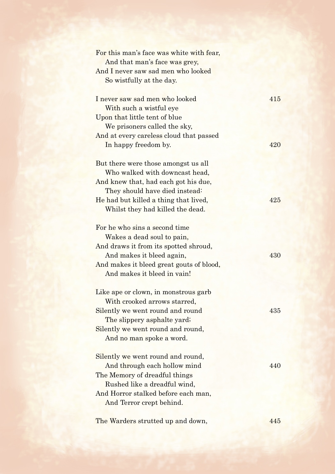| For this man's face was white with fear, |     |
|------------------------------------------|-----|
| And that man's face was grey,            |     |
| And I never saw sad men who looked       |     |
| So wistfully at the day.                 |     |
| I never saw sad men who looked           | 415 |
| With such a wistful eye                  |     |
| Upon that little tent of blue            |     |
| We prisoners called the sky,             |     |
| And at every careless cloud that passed  |     |
| In happy freedom by.                     | 420 |
| But there were those amongst us all      |     |
| Who walked with downcast head,           |     |
| And knew that, had each got his due,     |     |
| They should have died instead:           |     |
| He had but killed a thing that lived,    | 425 |
| Whilst they had killed the dead.         |     |
|                                          |     |
| For he who sins a second time            |     |
| Wakes a dead soul to pain,               |     |
| And draws it from its spotted shroud,    |     |
| And makes it bleed again,                | 430 |
| And makes it bleed great gouts of blood, |     |
| And makes it bleed in vain!              |     |
| Like ape or clown, in monstrous garb     |     |
| With crooked arrows starred,             |     |
| Silently we went round and round         | 435 |
| The slippery asphalte yard;              |     |
| Silently we went round and round,        |     |
| And no man spoke a word.                 |     |
| Silently we went round and round,        |     |
| And through each hollow mind             | 440 |
| The Memory of dreadful things            |     |
| Rushed like a dreadful wind,             |     |
| And Horror stalked before each man,      |     |
| And Terror crept behind.                 |     |
|                                          |     |
| The Warders strutted up and down,        | 445 |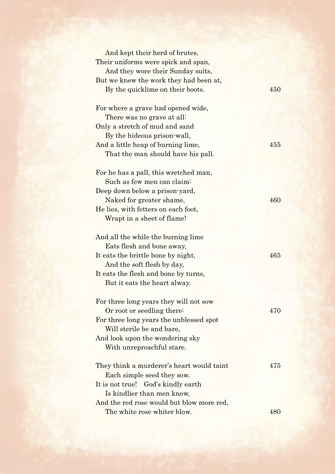| And kept their herd of brutes,            |     |
|-------------------------------------------|-----|
| Their uniforms were spick and span,       |     |
| And they wore their Sunday suits,         |     |
| But we knew the work they had been at,    |     |
| By the quicklime on their boots.          | 450 |
|                                           |     |
| For where a grave had opened wide,        |     |
| There was no grave at all:                |     |
| Only a stretch of mud and sand            |     |
| By the hideous prison-wall,               |     |
| And a little heap of burning lime,        | 455 |
| That the man should have his pall.        |     |
|                                           |     |
| For he has a pall, this wretched man,     |     |
| Such as few men can claim:                |     |
| Deep down below a prison-yard,            |     |
| Naked for greater shame,                  | 460 |
| He lies, with fetters on each foot,       |     |
| Wrapt in a sheet of flame!                |     |
|                                           |     |
| And all the while the burning lime        |     |
| Eats flesh and bone away,                 |     |
| It eats the brittle bone by night,        | 465 |
| And the soft flesh by day,                |     |
| It eats the flesh and bone by turns,      |     |
| But it eats the heart alway.              |     |
|                                           |     |
| For three long years they will not sow    |     |
| Or root or seedling there:                | 470 |
| For three long years the unblessed spot   |     |
| Will sterile be and bare,                 |     |
| And look upon the wondering sky           |     |
| With unreproachful stare.                 |     |
|                                           |     |
| They think a murderer's heart would taint | 475 |
| Each simple seed they sow.                |     |
| It is not true! God's kindly earth        |     |
| Is kindlier than men know,                |     |
| And the red rose would but blow more red, |     |
| The white rose whiter blow.               | 480 |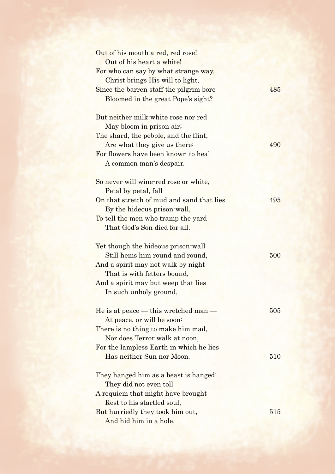| Out of his mouth a red, red rose!                                        |     |
|--------------------------------------------------------------------------|-----|
| Out of his heart a white!                                                |     |
| For who can say by what strange way,<br>Christ brings His will to light, |     |
| Since the barren staff the pilgrim bore                                  | 485 |
| Bloomed in the great Pope's sight?                                       |     |
| But neither milk-white rose nor red                                      |     |
| May bloom in prison air;                                                 |     |
| The shard, the pebble, and the flint,                                    |     |
| Are what they give us there:                                             | 490 |
| For flowers have been known to heal                                      |     |
| A common man's despair.                                                  |     |
| So never will wine-red rose or white,                                    |     |
| Petal by petal, fall                                                     |     |
| On that stretch of mud and sand that lies                                | 495 |
| By the hideous prison-wall,                                              |     |
| To tell the men who tramp the yard                                       |     |
| That God's Son died for all.                                             |     |
| Yet though the hideous prison-wall                                       |     |
| Still hems him round and round,                                          | 500 |
| And a spirit may not walk by night                                       |     |
| That is with fetters bound,                                              |     |
| And a spirit may but weep that lies                                      |     |
| In such unholy ground,                                                   |     |
| He is at peace — this wretched man —                                     | 505 |
| At peace, or will be soon:                                               |     |
| There is no thing to make him mad,                                       |     |
| Nor does Terror walk at noon,                                            |     |
| For the lampless Earth in which he lies                                  |     |
| Has neither Sun nor Moon.                                                | 510 |
| They hanged him as a beast is hanged:                                    |     |
| They did not even toll                                                   |     |
| A requiem that might have brought                                        |     |
| Rest to his startled soul,                                               |     |
| But hurriedly they took him out,                                         | 515 |
| And hid him in a hole.                                                   |     |
|                                                                          |     |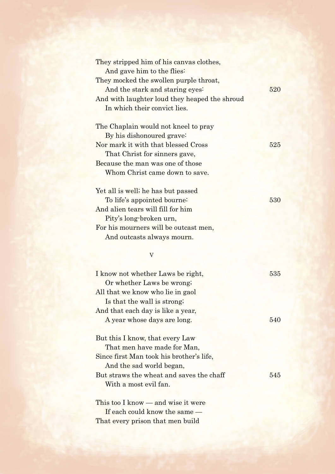| They stripped him of his canvas clothes,      |     |
|-----------------------------------------------|-----|
| And gave him to the flies:                    |     |
| They mocked the swollen purple throat,        |     |
| And the stark and staring eyes:               | 520 |
| And with laughter loud they heaped the shroud |     |
| In which their convict lies.                  |     |
| The Chaplain would not kneel to pray          |     |
| By his dishonoured grave:                     |     |
| Nor mark it with that blessed Cross           | 525 |
| That Christ for sinners gave,                 |     |
| Because the man was one of those              |     |
| Whom Christ came down to save.                |     |
| Yet all is well; he has but passed            |     |
| To life's appointed bourne:                   | 530 |
| And alien tears will fill for him             |     |
| Pity's long-broken urn,                       |     |
| For his mourners will be outcast men,         |     |
| And outcasts always mourn.                    |     |
| $\boldsymbol{\mathrm{V}}$                     |     |
|                                               |     |
| I know not whether Laws be right,             | 535 |
| Or whether Laws be wrong;                     |     |
| All that we know who lie in gaol              |     |
| Is that the wall is strong.                   |     |
| And that each day is like a year,             |     |
| A year whose days are long.                   | 540 |
| But this I know, that every Law               |     |
|                                               |     |
| That men have made for Man,                   |     |
| Since first Man took his brother's life,      |     |
| And the sad world began,                      |     |
| But straws the wheat and saves the chaff      | 545 |
| With a most evil fan.                         |     |
| This too I know — and wise it were            |     |
| If each could know the same —                 |     |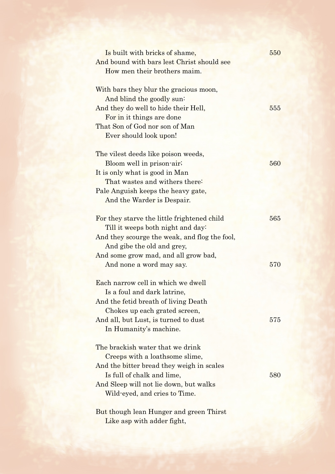| Is built with bricks of shame,<br>And bound with bars lest Christ should see<br>How men their brothers maim.                                                                                                                        | 550        |
|-------------------------------------------------------------------------------------------------------------------------------------------------------------------------------------------------------------------------------------|------------|
| With bars they blur the gracious moon,<br>And blind the goodly sun:<br>And they do well to hide their Hell,<br>For in it things are done<br>That Son of God nor son of Man<br>Ever should look upon!                                | 555        |
| The vilest deeds like poison weeds,<br>Bloom well in prison-air;<br>It is only what is good in Man<br>That wastes and withers there:<br>Pale Anguish keeps the heavy gate,<br>And the Warder is Despair.                            | 560        |
| For they starve the little frightened child<br>Till it weeps both night and day:<br>And they scourge the weak, and flog the fool,<br>And gibe the old and grey,<br>And some grow mad, and all grow bad,<br>And none a word may say. | 565<br>570 |
| Each narrow cell in which we dwell<br>Is a foul and dark latrine,<br>And the fetid breath of living Death<br>Chokes up each grated screen,<br>And all, but Lust, is turned to dust<br>In Humanity's machine.                        | 575        |
| The brackish water that we drink<br>Creeps with a loathsome slime,<br>And the bitter bread they weigh in scales<br>Is full of chalk and lime,<br>And Sleep will not lie down, but walks<br>Wild-eyed, and cries to Time.            | 580        |
| But though lean Hunger and green Thirst                                                                                                                                                                                             |            |

Like asp with adder fight,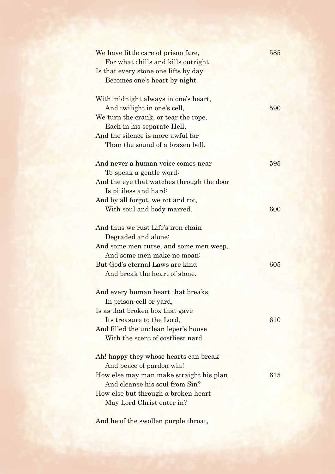| We have little care of prison fare,<br>For what chills and kills outright<br>Is that every stone one lifts by day<br>Becomes one's heart by night.                                                                 | 585 |
|--------------------------------------------------------------------------------------------------------------------------------------------------------------------------------------------------------------------|-----|
| With midnight always in one's heart,<br>And twilight in one's cell,<br>We turn the crank, or tear the rope,<br>Each in his separate Hell,<br>And the silence is more awful far<br>Than the sound of a brazen bell. | 590 |
| And never a human voice comes near<br>To speak a gentle word:<br>And the eye that watches through the door                                                                                                         | 595 |
| Is pitiless and hard:<br>And by all forgot, we rot and rot,<br>With soul and body marred.<br>And thus we rust Life's iron chain                                                                                    | 600 |
| Degraded and alone:<br>And some men curse, and some men weep,<br>And some men make no moan-<br>But God's eternal Laws are kind<br>And break the heart of stone.                                                    | 605 |
| And every human heart that breaks,<br>In prison-cell or yard,<br>Is as that broken box that gave<br>Its treasure to the Lord,<br>And filled the unclean leper's house<br>With the scent of costliest nard.         | 610 |
| Ah! happy they whose hearts can break<br>And peace of pardon win!<br>How else may man make straight his plan<br>And cleanse his soul from Sin?<br>How else but through a broken heart<br>May Lord Christ enter in? | 615 |

And he of the swollen purple throat,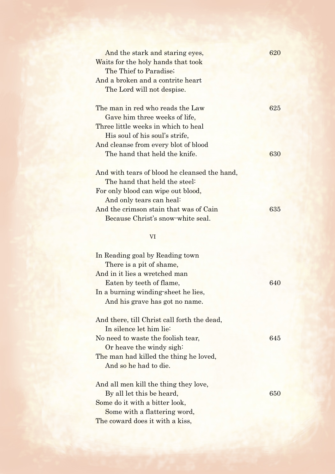| And the stark and staring eyes,               | 620 |
|-----------------------------------------------|-----|
| Waits for the holy hands that took            |     |
| The Thief to Paradise;                        |     |
| And a broken and a contrite heart             |     |
| The Lord will not despise.                    |     |
| The man in red who reads the Law              | 625 |
| Gave him three weeks of life,                 |     |
| Three little weeks in which to heal           |     |
| His soul of his soul's strife,                |     |
| And cleanse from every blot of blood          |     |
| The hand that held the knife.                 | 630 |
| And with tears of blood he cleansed the hand, |     |
| The hand that held the steel:                 |     |
| For only blood can wipe out blood,            |     |
| And only tears can heal:                      |     |
| And the crimson stain that was of Cain        | 635 |
| Because Christ's snow-white seal.             |     |
| VI                                            |     |
|                                               |     |
| In Reading goal by Reading town               |     |
| There is a pit of shame,                      |     |
| And in it lies a wretched man                 |     |
| Eaten by teeth of flame,                      | 640 |
| In a burning winding sheet he lies,           |     |
| And his grave has got no name.                |     |
| And there, till Christ call forth the dead,   |     |
| In silence let him lie:                       |     |
| No need to waste the foolish tear,            | 645 |
| Or heave the windy sigh:                      |     |
| The man had killed the thing he loved,        |     |
| And so he had to die.                         |     |
| And all men kill the thing they love,         |     |
| By all let this be heard,                     | 650 |
| Some do it with a bitter look,                |     |
| Some with a flattering word,                  |     |
| The coward does it with a kiss,               |     |
|                                               |     |